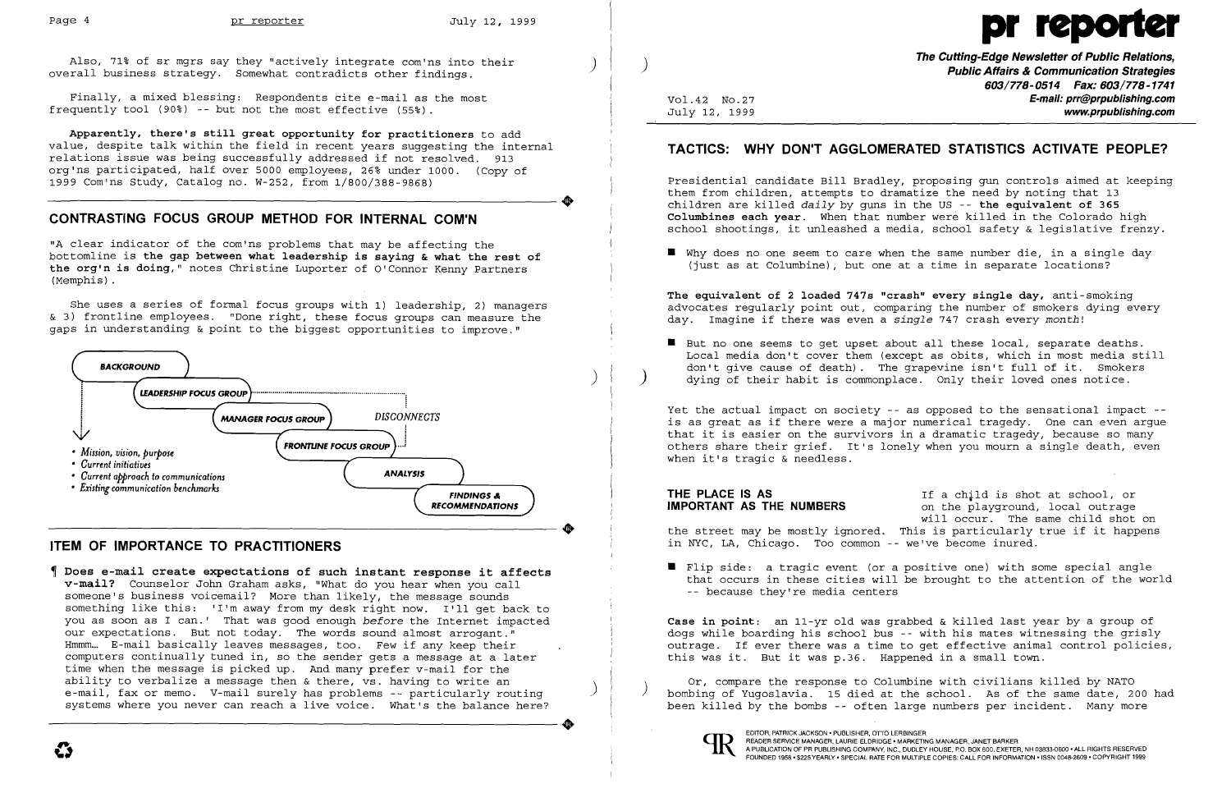

Finally, a mixed blessing: Respondents cite e-mail as the most frequently tool (90%) -- but not the most effective (55%).

org'ns participated, half over 5000 employees, 26% under 1000. (Copy of 1999 Com'ns Study, Catalog no. W-252, from 1/800/388-9868) Apparently, there's still great opportunity for practitioners to add value, despite talk within the field in recent years suggesting the internal relations issue was being successfully addressed if not resolved. 913 1999 Com'ns Study, Catalog no. W-252, from 1/800/388-9868)

"A clear indicator of the com'ns problems that may be affecting the bottomline is the gap between what leadership *is* saying & what the rest of the org'n *is* doing," notes Christine Luporter of O'Connor Kenny Partners (Memphis) .

.

 $\left( \right)$ 

Also, 71% of sr mgrs say they "actively integrate com'ns into their [1] [1] [1] [1] [1] [1] T<mark>he Cutting-Edge Newsletter of Public Relations,</mark><br>overall business strategy. Somewhat contradicts other findings. [1] [1] [1] [1]

### CONTRASTING FOCUS GROUP METHOD FOR INTERNAL COM'N

She uses a series of formal focus groups with 1) leadership, 2) managers & 3) frontline employees. "Done right, these focus groups can measure the gaps in understanding & point to the biggest opportunities to improve."

603/778-0514 Fax: 603/778-1741 Vol.42 No.27<br>July 12, 1999 **E-mail: prr@prpublishing.com** www.prpublishing.com

 $\blacksquare$  Why does no one seem to care when the same number die, in a single day (just as at Columbine), but one at a time in separate locations?

 $\blacksquare$  But no one seems to get upset about all these local, separate deaths. ) dying of their habit is commonplace. Only their loved ones notice.



## ITEM OF IMPORTANCE TO PRACTITIONERS

IMPORTANT AS THE NUMBERS the street may be mostly ignored. This is particularly true if it happens If a child is shot at school, or on the playground, local outrage will occur. The same child shot on in NYC, LA, Chicago. Too common -- we've become inured.

 Does e-mail create expectations of such instant response it affects v-mail? Counselor John Graham asks, "What do you hear when you call Ī someone's business voicemail? More than likely, the message sounds something like this: 'I'm away from my desk right now. I'll get back to you as soon as I can.' That was good enough *before* the Internet impacted our expectations. But not today. The words sound almost arrogant." Hmmm... E-mail basically leaves messages, too. Few if any keep their computers continually tuned in, so the sender gets a message at a later time when the message is picked up. And many prefer v-mail for the ability to verbalize a message then & there, vs. having to write an e-mail, fax or memo. V-mail surely has problems -- particularly routing<br>systems where you never can reach a live voice. What's the balance here? systems where you never can reach a live voice. What's the balance here?

 $\blacksquare$  Flip side: a tragic event (or a positive one) with some special angle -- because they're media centers

Or, compare the response to Columbine with civilians killed by NATO<br>bombing of Yugoslavia. 15 died at the school. As of the same date, 200 had been killed by the bombs -- often large numbers per incident. Many more



## TACTICS: WHY DON'T AGGLOMERATED STATISTICS ACTIVATE PEOPLE?

Presidential candidate Bill Bradley, proposing gun controls aimed at keeping them from children, attempts to dramatize the need by noting that 13 children are killed *daily* by guns in the US -- the equivalent of 365 Columbines each year. When that number were killed in the Colorado high school shootings, it unleashed a media, school safety & legislative frenzy.

The equivalent of 2 loaded 747s "crash" every single day, anti-smoking advocates regularly point out, comparing the number of smokers dying every day. Imagine if there was even a *single* 747 crash every *month!* 

Local media don't cover them (except as obits, which in most media still don't give cause of death). The grapevine isn't full of it. Smokers

Yet the actual impact on society -- as opposed to the sensational impact is as great as if there were a major numerical tragedy. One can even argue that it is easier on the survivors in a dramatic tragedy, because so many others share their grief. It's lonely when you mourn a single death, even when it's tragic & needless.

# THE PLACE IS AS

that occurs in these cities will be brought to the attention of the world

Case in point: an 11-yr old was grabbed & killed last year by a group of dogs while boarding his school bus -- with his mates witnessing the grisly outrage. If ever there was a time to get effective animal control policies, this was it. But it was p.36. Happened in a small town.